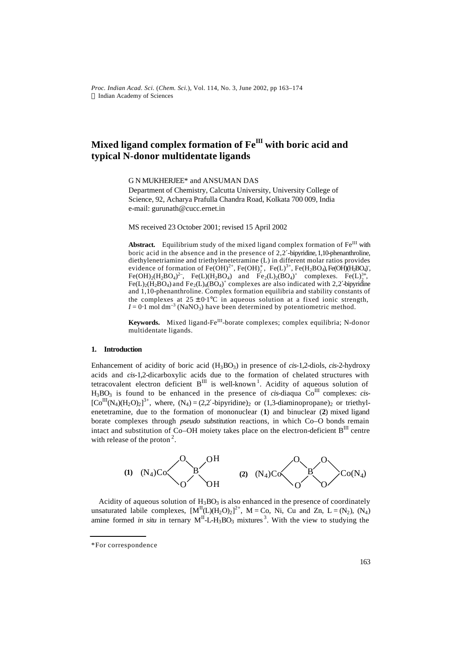*Proc. Indian Acad. Sci.* (*Chem. Sci.*), Vol. 114, No. 3, June 2002, pp 163–174  $©$  Indian Academy of Sciences

# **Mixed ligand complex formation of FeIII with boric acid and typical N-donor multidentate ligands**

G N MUKHERJEE\* and ANSUMAN DAS

Department of Chemistry, Calcutta University, University College of Science, 92, Acharya Prafulla Chandra Road, Kolkata 700 009, India e-mail: gurunath@cucc.ernet.in

MS received 23 October 2001; revised 15 April 2002

Abstract. Equilibrium study of the mixed ligand complex formation of Fe<sup>III</sup> with boric acid in the absence and in the presence of 2,2'-bipyridine, 1,10-phenanthroline, diethylenetriamine and triethylenetetramine (L) in different molar ratios provides evidence of formation of  $Fe(OH)^{2+}$ ,  $Fe(OH)^{+}_{2}$ ,  $Fe(L)^{3+}$ ,  $Fe(H_2BO_4)$ ,  $Fe(OH)(H_2BO_4)$ ,  $\text{Fe}(\text{OH})_2(\text{H}_2\text{BO}_4)^2$ ,  $\text{Fe}(\text{L})(\text{H}_2\text{BO}_4)$  and  $\text{Fe}_2(\text{L})_2(\text{BO}_4)^+$  complexes.  $\text{Fe}(\text{L})_2^{3+}$ , Fe(L)<sub>2</sub>(H<sub>2</sub>BO<sub>4</sub>) and Fe<sub>2</sub>(L)<sub>4</sub>(BO<sub>4</sub>)<sup>+</sup> complexes are also indicated with 2,2'-bipyridine and 1,10-phenanthroline. Complex formation equilibria and stability constants of the complexes at  $25 \pm 0.1$ °C in aqueous solution at a fixed ionic strength,  $I = 0.1$  mol dm<sup>-3</sup> (NaNO<sub>3</sub>) have been determined by potentiometric method.

Keywords. Mixed ligand-Fe<sup>III</sup>-borate complexes; complex equilibria; N-donor multidentate ligands.

#### **1. Introduction**

Enhancement of acidity of boric acid (H3BO3) in presence of *cis*-1,2-diols, *cis*-2-hydroxy acids and *cis*-1,2-dicarboxylic acids due to the formation of chelated structures with tetracovalent electron deficient  $B^{III}$  is well-known<sup>1</sup>. Acidity of aqueous solution of  $H_3BO_3$  is found to be enhanced in the presence of *cis*-diaqua  $Co^{III}$  complexes: *cis*- $[CO^{III}(N_4)(H_2O)_2]^{3+}$ , where,  $(N_4) = (2,2'-bipyridine)_2$  or  $(1,3-diaminopropane)_2$  or triethylenetetramine, due to the formation of mononuclear (**1**) and binuclear (**2**) mixed ligand borate complexes through *pseudo substitution* reactions, in which Co–O bonds remain intact and substitution of Co–OH moiety takes place on the electron-deficient  $B^{III}$  centre with release of the proton<sup>2</sup>.



Acidity of aqueous solution of  $H_3BO_3$  is also enhanced in the presence of coordinately unsaturated labile complexes,  $[M^{\text{II}}(L)(H_2O)_2]^{2+}$ , M = Co, Ni, Cu and Zn, L = (N<sub>2</sub>), (N<sub>4</sub>) amine formed *in situ* in ternary  $M<sup>II</sup>$ -L-H<sub>3</sub>BO<sub>3</sub> mixtures<sup>3</sup>. With the view to studying the

<sup>\*</sup>For correspondence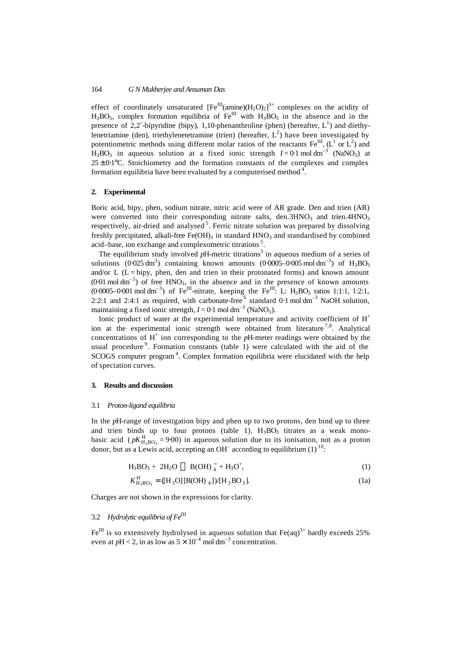effect of coordinately unsaturated  $[Fe^{III}(amine)(H_2O)_2]^{3+}$  complexes on the acidity of  $H_3BO_3$ , complex formation equilibria of  $Fe^{III}$  with  $H_3BO_3$  in the absence and in the presence of 2,2'-bipyridine (bipy), 1,10-phenanthroline (phen) (hereafter,  $L^1$ ) and diethylenetriamine (den), triethylenetetramine (trien) (hereafter,  $L^2$ ) have been investigated by potentiometric methods using different molar ratios of the reactants  $\text{Fe}^{\text{III}}$ , (L<sup>1</sup> or L<sup>2</sup>) and  $H_3BO_3$  in aqueous solution at a fixed ionic strength  $I = 0.1 \text{ mol dm}^{-3}$  (NaNO<sub>3</sub>) at  $25 \pm 0.1$ °C. Stoichiometry and the formation constants of the complexes and complex formation equilibria have been evaluated by a computerised method  $4$ .

#### **2. Experimental**

Boric acid, bipy, phen, sodium nitrate, nitric acid were of AR grade. Den and trien (AR) were converted into their corresponding nitrate salts, den.3HNO<sub>3</sub> and trien.4HNO<sub>3</sub> respectively, air-dried and analysed<sup>5</sup>. Ferric nitrate solution was prepared by dissolving freshly precipitated, alkali-free  $Fe(OH)_3$  in standard  $HNO_3$  and standardised by combined acid–base, ion exchange and complexometric titrations<sup>5</sup>.

The equilibrium study involved pH-metric titrations<sup>3</sup> in aqueous medium of a series of solutions  $(0.025 \text{ dm}^3)$  containing known amounts  $(0.0005-0.005 \text{ mol dm}^{-3})$  of H<sub>3</sub>BO<sub>3</sub> and/or L ( $L = bipy$ , phen, den and trien in their protonated forms) and known amount  $(0.01 \text{ mol dm}^{-3})$  of free HNO<sub>3</sub>, in the absence and in the presence of known amounts  $(0.0005-0.001 \text{ mol dm}^{-3})$  of Fe<sup>III</sup>-nitrate, keeping the Fe<sup>III</sup>: L: H<sub>3</sub>BO<sub>3</sub> ratios 1:1:1, 1:2:1, 2:2:1 and 2:4:1 as required, with carbonate-free  $6$  standard 0⋅1 mol dm<sup>-3</sup> NaOH solution, maintaining a fixed ionic strength,  $I = 0.1$  mol dm<sup>-3</sup> (NaNO<sub>3</sub>).

Ionic product of water at the experimental temperature and activity coefficient of  $H^+$ ion at the experimental ionic strength were obtained from literature  $^{7,8}$ . Analytical concentrations of H<sup>+</sup> ion corresponding to the *p*H-meter readings were obtained by the usual procedure<sup>9</sup>. Formation constants (table 1) were calculated with the aid of the SCOGS computer program<sup>4</sup>. Complex formation equilibria were elucidated with the help of speciation curves.

### **3. Results and discussion**

#### 3.1 *Proton-ligand equilibria*

In the *p*H-range of investigation bipy and phen up to two protons, den bind up to three and trien binds up to four protons (table 1).  $H_3BO_3$  titrates as a weak monobasic acid ( $pK_{\text{H}_3\text{BO}_3}^{\text{H}} = 9.00$ ) in aqueous solution due to its ionisation, not as a proton donor, but as a Lewis acid, accepting an OH<sup>-</sup> according to equilibrium  $(1)^{10}$ :

$$
H_3BO_3 + 2H_2O = B(OH)^{-}_{4} + H_3O^{+}, \qquad (1)
$$

$$
K_{H_3BO_3}^H = (H_3O)[B(OH)_{4}]/[H_3BO_3].
$$
\n(1a)

Charges are not shown in the expressions for clarity.

## 3.2 *Hydrolytic equilibria of FeIII*

 $Fe^{III}$  is so extensively hydrolysed in aqueous solution that  $Fe(aq)^{3+}$  hardly exceeds 25% even at  $pH < 2$ , in as low as  $5 \times 10^{-4}$  mol dm<sup>-3</sup> concentration.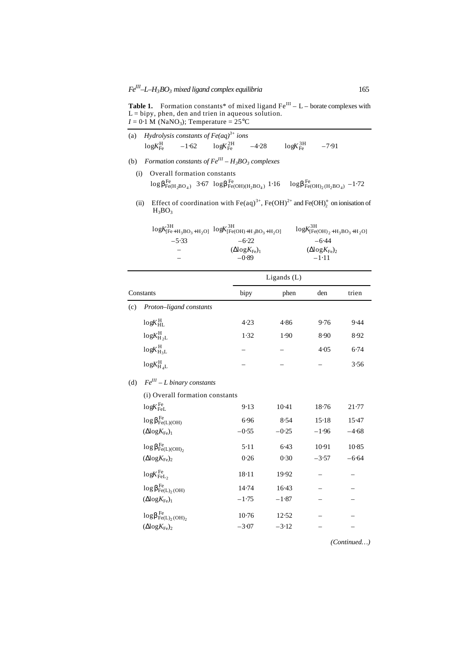**Table 1.** Formation constants\* of mixed ligand  $Fe^{III} - L$  – borate complexes with  $L = bipy$ , phen, den and trien in aqueous solution.  $I = 0.1$  M (NaNO<sub>3</sub>); Temperature =  $25^{\circ}$ C

| $H_3BO_3$                                      |                                                                                                                                                                                                                                                                                            |                                                                                                                                                                                                                           |                                                                                                                                                                                                                                         |                                                                                                                                                                                                                                                                                                                              |  |  |
|------------------------------------------------|--------------------------------------------------------------------------------------------------------------------------------------------------------------------------------------------------------------------------------------------------------------------------------------------|---------------------------------------------------------------------------------------------------------------------------------------------------------------------------------------------------------------------------|-----------------------------------------------------------------------------------------------------------------------------------------------------------------------------------------------------------------------------------------|------------------------------------------------------------------------------------------------------------------------------------------------------------------------------------------------------------------------------------------------------------------------------------------------------------------------------|--|--|
| $logK_{[Fe(OH)_2 + H_3BO_3 + H_2O]}^{3H}$      |                                                                                                                                                                                                                                                                                            |                                                                                                                                                                                                                           |                                                                                                                                                                                                                                         |                                                                                                                                                                                                                                                                                                                              |  |  |
| $-5.33$                                        | $-6.22$                                                                                                                                                                                                                                                                                    | $-6.44$                                                                                                                                                                                                                   |                                                                                                                                                                                                                                         |                                                                                                                                                                                                                                                                                                                              |  |  |
|                                                |                                                                                                                                                                                                                                                                                            |                                                                                                                                                                                                                           |                                                                                                                                                                                                                                         |                                                                                                                                                                                                                                                                                                                              |  |  |
|                                                |                                                                                                                                                                                                                                                                                            |                                                                                                                                                                                                                           |                                                                                                                                                                                                                                         |                                                                                                                                                                                                                                                                                                                              |  |  |
|                                                | Ligands (L)                                                                                                                                                                                                                                                                                |                                                                                                                                                                                                                           |                                                                                                                                                                                                                                         |                                                                                                                                                                                                                                                                                                                              |  |  |
|                                                | bipy                                                                                                                                                                                                                                                                                       | phen                                                                                                                                                                                                                      | den                                                                                                                                                                                                                                     | trien                                                                                                                                                                                                                                                                                                                        |  |  |
|                                                |                                                                                                                                                                                                                                                                                            |                                                                                                                                                                                                                           |                                                                                                                                                                                                                                         |                                                                                                                                                                                                                                                                                                                              |  |  |
| $logK_{\rm HL}^{\rm H}$                        | 4.23                                                                                                                                                                                                                                                                                       | 4.86                                                                                                                                                                                                                      | 9.76                                                                                                                                                                                                                                    | 9.44                                                                                                                                                                                                                                                                                                                         |  |  |
| $logK_{\rm H_2L}^{\rm H}$                      | 1.32                                                                                                                                                                                                                                                                                       | 1.90                                                                                                                                                                                                                      | 8.90                                                                                                                                                                                                                                    | 8.92                                                                                                                                                                                                                                                                                                                         |  |  |
| $logK_{\mathrm{H}_{3}\mathrm{L}}^{\mathrm{H}}$ |                                                                                                                                                                                                                                                                                            |                                                                                                                                                                                                                           | 4.05                                                                                                                                                                                                                                    | 6.74                                                                                                                                                                                                                                                                                                                         |  |  |
| $logK_{\mathrm{H}_{4}\mathrm{L}}^{\mathrm{H}}$ |                                                                                                                                                                                                                                                                                            |                                                                                                                                                                                                                           |                                                                                                                                                                                                                                         | 3.56                                                                                                                                                                                                                                                                                                                         |  |  |
|                                                |                                                                                                                                                                                                                                                                                            |                                                                                                                                                                                                                           |                                                                                                                                                                                                                                         |                                                                                                                                                                                                                                                                                                                              |  |  |
| (d)<br>(i) Overall formation constants         |                                                                                                                                                                                                                                                                                            |                                                                                                                                                                                                                           |                                                                                                                                                                                                                                         |                                                                                                                                                                                                                                                                                                                              |  |  |
| $logK_{\rm FeI}^{\rm Fe}$                      | 9.13                                                                                                                                                                                                                                                                                       |                                                                                                                                                                                                                           | 18.76                                                                                                                                                                                                                                   | $21-77$                                                                                                                                                                                                                                                                                                                      |  |  |
|                                                | 6.96                                                                                                                                                                                                                                                                                       | 8.54                                                                                                                                                                                                                      | 15.18                                                                                                                                                                                                                                   | 15.47                                                                                                                                                                                                                                                                                                                        |  |  |
| $(\Delta log K_{Fe})_1$                        | $-0.55$                                                                                                                                                                                                                                                                                    |                                                                                                                                                                                                                           | $-1.96$                                                                                                                                                                                                                                 | $-4.68$                                                                                                                                                                                                                                                                                                                      |  |  |
|                                                | 5.11                                                                                                                                                                                                                                                                                       | 6.43                                                                                                                                                                                                                      | 10.91                                                                                                                                                                                                                                   | 10.85                                                                                                                                                                                                                                                                                                                        |  |  |
| $(\Delta log K_{Fe})_2$                        | 0.26                                                                                                                                                                                                                                                                                       | 0.30                                                                                                                                                                                                                      | $-3.57$                                                                                                                                                                                                                                 | $-6.64$                                                                                                                                                                                                                                                                                                                      |  |  |
| $logK_{\rm FeL_2}^{\rm Fe}$                    | 18.11                                                                                                                                                                                                                                                                                      |                                                                                                                                                                                                                           |                                                                                                                                                                                                                                         |                                                                                                                                                                                                                                                                                                                              |  |  |
|                                                | 14.74                                                                                                                                                                                                                                                                                      |                                                                                                                                                                                                                           |                                                                                                                                                                                                                                         |                                                                                                                                                                                                                                                                                                                              |  |  |
| $(\Delta log K_{Fe})_1$                        | $-1.75$                                                                                                                                                                                                                                                                                    |                                                                                                                                                                                                                           |                                                                                                                                                                                                                                         |                                                                                                                                                                                                                                                                                                                              |  |  |
|                                                | 10.76                                                                                                                                                                                                                                                                                      |                                                                                                                                                                                                                           |                                                                                                                                                                                                                                         |                                                                                                                                                                                                                                                                                                                              |  |  |
| $(\Delta$ log $K_{Fe})_2$                      | $-3.07$                                                                                                                                                                                                                                                                                    |                                                                                                                                                                                                                           |                                                                                                                                                                                                                                         |                                                                                                                                                                                                                                                                                                                              |  |  |
|                                                | $logK_{\text{Fe}}^{\text{H}}$<br>(i)<br>(ii)<br>Constants<br>$\log{\bm{b}}_{\mathrm{Fe(L)(OH)}}^{\mathrm{Fe}}$<br>$\log{\bm{b}}_{\mathrm{Fe(L)(OH)}_2}^{\mathrm{Fe}}$<br>$\log{\bm{b}}_{\text{Fe(L)}_2(\text{OH})}^{\text{Fe}}$<br>$\log \bm{b}_{\text{Fe(L)}_2(\text{OH})_2}^{\text{Fe}}$ | Hydrolysis constants of $Fe(aq)^{3+}$ ions<br>$-1.62$ $\log K_{\text{Fe}}^{\text{2H}}$<br>Overall formation constants<br>$(\Delta log K_{Fe})_1$<br>$-0.89$<br>Proton-ligand constants<br>$Fe^{III}$ – L binary constants | $logK_{\text{Fe}}^{3H}$<br>$-4.28$<br>Formation constants of $Fe^{III} - H_3BO_3$ complexes<br>$logK_{[Fe+H_3BO_3+H_2O]}^{3H}$ $logK_{[Fe(OH)+H_3BO_3+H_2O]}^{3H}$<br>10.41<br>$-0.25$<br>19.92<br>16.43<br>$-1.87$<br>12.52<br>$-3.12$ | $-7.91$<br>$\log b_{\text{Fe(H}_2BO_4)}^{\text{Fe}}$ 3.67 $\log b_{\text{Fe(OH)(H}_2BO_4)}^{\text{Fe}}$ 1.16 $\log b_{\text{Fe(OH)}_2(H_2BO_4)}^{\text{Fe}}$ -1.72<br>Effect of coordination with Fe(aq) <sup>3+</sup> , Fe(OH) <sup>2+</sup> and Fe(OH) <sup>+</sup> on ionisation of<br>$(\Delta log K_{Fe})_2$<br>$-1.11$ |  |  |

*(Continued…)*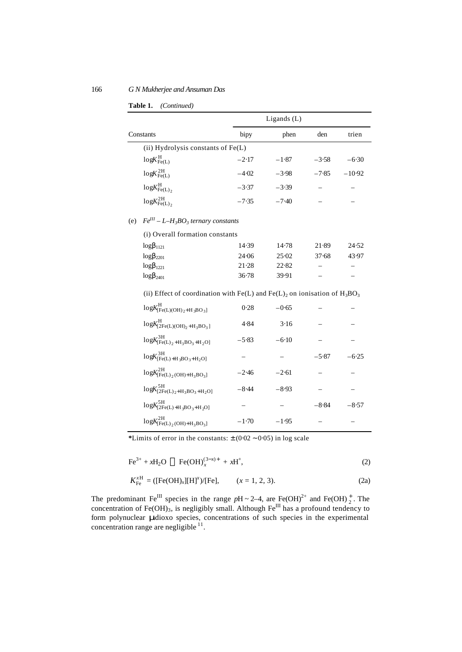|           | rabie 1.<br>(Conumea)                                                                    |         |             |         |          |  |  |  |
|-----------|------------------------------------------------------------------------------------------|---------|-------------|---------|----------|--|--|--|
|           |                                                                                          |         | Ligands (L) |         |          |  |  |  |
| Constants |                                                                                          | bipy    | phen        | den     | trien    |  |  |  |
|           | (ii) Hydrolysis constants of Fe(L)                                                       |         |             |         |          |  |  |  |
|           | $logK_{\text{Fe(I)}}^{\text{H}}$                                                         | $-2.17$ | $-1.87$     | $-3.58$ | $-6.30$  |  |  |  |
|           | $logK_{\rm Fe(L)}^{\rm 2H}$                                                              | $-4.02$ | $-3.98$     | $-7.85$ | $-10.92$ |  |  |  |
|           | $logK_{Fe(L)}^H$                                                                         | $-3.37$ | $-3.39$     |         |          |  |  |  |
|           | $logK_{\rm Fe(L)}^{2H}$                                                                  | $-7.35$ | $-7.40$     |         |          |  |  |  |
| (e)       | $Fe^{III}$ – L–H <sub>3</sub> BO <sub>3</sub> ternary constants                          |         |             |         |          |  |  |  |
|           | (i) Overall formation constants                                                          |         |             |         |          |  |  |  |
|           | $logb_{1121}$                                                                            | 14.39   | 14.78       | 21.89   | 24.52    |  |  |  |
|           | $logb_{2201}$                                                                            | 24.06   | 25.02       | 37.68   | 43.97    |  |  |  |
|           | $logb_{1221}$                                                                            | $21-28$ | 22.82       |         |          |  |  |  |
|           | $logb_{2401}$                                                                            | 36.78   | 39.91       |         |          |  |  |  |
|           | (ii) Effect of coordination with Fe(L) and Fe(L) <sub>2</sub> on ionisation of $H_3BO_3$ |         |             |         |          |  |  |  |
|           | $logK_{[Fe(L)(OH)_2 + H_3 BO_3]}^H$                                                      | 0.28    | $-0.65$     |         |          |  |  |  |
|           | $\log\!K^{\rm H}_{[2\rm Fe(L)(OH)_2+H_3BO_3]}$                                           | 4.84    | 3.16        |         |          |  |  |  |
|           | $logK_{[Fe(L)_2 + H_3 BO_3 + H_2 O]}^{3H}$                                               | $-5.83$ | $-6.10$     |         |          |  |  |  |
|           | $\log\!K_{\rm [Fe(L)+H_3BO_3+H_2O]}^{\rm 3H}$                                            |         |             | $-5.87$ | $-6.25$  |  |  |  |
|           | $\log\!K_{\rm [Fe(L)_2(OH)+H_3BO_3]}^{\rm 2H}$                                           | $-2.46$ | $-2.61$     |         |          |  |  |  |
|           | $\log\!K_{[2\text{Fe(L)}_2+\text{H}_3\text{BO}_3+\text{H}_2\text{O}]}^{\text{5H}}$       | $-8.44$ | $-8.93$     |         |          |  |  |  |
|           | $\log\!K_{[2\text{Fe(L)}+\text{H}_{3}\text{BO}_{3}+\text{H}_{2}\text{O}]}^{\text{5H}}$   |         |             | $-8.84$ | $-8.57$  |  |  |  |
|           | $\log\!K_{\rm [Fe(L)_2(OH)+H_3BO_3]}^{2H}$                                               | $-1.70$ | $-1.95$     |         |          |  |  |  |

```
Table 1. (Continued)
```
**\***Limits of error in the constants: ± (0⋅02 ∼ 0⋅05) in log scale

$$
Fe^{3+} + xH_2O \t Fe(OH)_x^{(3-x)+} + xH^+, \t (2)
$$

$$
K_{\text{Fe}}^{\text{xH}} = ([\text{Fe(OH)}_{\text{x}}][\text{H}]^{\text{x}})/[\text{Fe}], \qquad (x = 1, 2, 3). \tag{2a}
$$

The predominant Fe<sup>III</sup> species in the range  $pH \sim 2-4$ , are Fe(OH)<sup>2+</sup> and Fe(OH)<sup>+</sup><sub>2</sub>. The concentration of Fe(OH)<sub>3</sub>, is negligibly small. Although Fe<sup>III</sup> has a profound tendency to form polynuclear *m*-dioxo species, concentrations of such species in the experimental concentration range are negligible  $^{11}$ .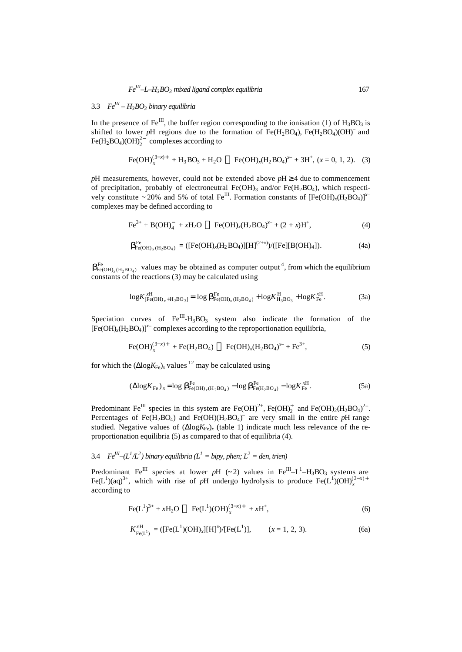## 3.3 *FeIII – H3BO3 binary equilibria*

In the presence of Fe<sup>III</sup>, the buffer region corresponding to the ionisation (1) of  $H_3BO_3$  is shifted to lower pH regions due to the formation of  $Fe(H_2BO_4)$ ,  $Fe(H_2BO_4)(OH)$ <sup>-</sup> and Fe(H<sub>2</sub>BO<sub>4</sub>)(OH)<sup>2</sup><sup>-</sup> complexes according to

$$
\text{Fe(OH)}_{x}^{(3-x)+} + \text{H}_{3}\text{BO}_{3} + \text{H}_{2}\text{O} \qquad \text{Fe(OH)}_{x}(\text{H}_{2}\text{BO}_{4})^{x-} + 3\text{H}^{+}, \ (x = 0, 1, 2). \tag{3}
$$

*pH* measurements, however, could not be extended above *pH* ≥ 4 due to commencement of precipitation, probably of electroneutral  $Fe(OH)_3$  and/or  $Fe(H_2BO_4)$ , which respectively constitute ~20% and 5% of total Fe<sup>III</sup>. Formation constants of  $[Fe(OH)_x(H_2BO_4)]^x$ complexes may be defined according to

$$
\text{Fe}^{3+} + \text{B(OH)}_{4}^{-} + x\text{H}_{2}\text{O} \qquad \text{Fe(OH)}_{x}(\text{H}_{2}\text{BO}_{4})^{x-} + (2+x)\text{H}^{+}, \tag{4}
$$

$$
\mathbf{b}_{Fe(OH)_x(H_2BO_4)}^{Fe} = ([Fe(OH)_x(H_2BO_4)][H]^{(2+x)})/([Fe][B(OH)_4]). \tag{4a}
$$

**<sup>Fe</sup>(OH)<sub>x</sub>(H<sub>2</sub>BO<sub>4</sub>) values may be obtained as computer output<sup>4</sup>, from which the equilibrium** constants of the reactions  $(3)$  may be calculated using

$$
\log K_{\text{[Fe(OH)}_x + \text{H}_3 \text{BO}_3]}^{\text{HH}} = \log \mathbf{b}_{\text{Fe(OH)}_x(\text{H}_2 \text{BO}_4)}^{\text{Fe}} + \log K_{\text{H}_3 \text{BO}_3}^{\text{H}} + \log K_{\text{Fe}}^{\text{xH}}.
$$
 (3a)

Speciation curves of  $\text{Fe}^{\text{III}}\text{-H}_3\text{BO}_3$  system also indicate the formation of the  $[Fe(OH)_x(H_2BO_4)]^{x-}$  complexes according to the reproportionation equilibria,

$$
Fe(OH)x(3-x)+ + Fe(H2BO4) \t Fe(OH)x(H2BO4)x- + Fe3+,
$$
 (5)

for which the  $(\Delta$ log $K_{Fe})_x$  values  $^{12}$  may be calculated using

$$
(\Delta \log K_{\rm Fe})_x = \log \mathbf{b}_{\rm Fe(OH)_x(H_2BO_4)}^{\rm Fe} - \log \mathbf{b}_{\rm Fe(H_2BO_4)}^{\rm Fe} - \log K_{\rm Fe}^{xH}.
$$
 (5a)

Predominant Fe<sup>III</sup> species in this system are Fe(OH)<sup>2+</sup>, Fe(OH)<sub>2</sub><sup>+</sup> and Fe(OH)<sub>2</sub>(H<sub>2</sub>BO<sub>4</sub>)<sup>2-</sup>. Percentages of Fe $(H_2BO_4)$  and Fe $(OH)(H_2BO_4)$ <sup>-</sup> are very small in the entire pH range studied. Negative values of  $(\Delta log K_{Fe})_x$  (table 1) indicate much less relevance of the reproportionation equilibria (5) as compared to that of equilibria (4).

### 3.4  $Fe^{III}$  $-(L^1/L^2)$  binary equilibria ( $L^1$  = bipy, phen;  $L^2$  = den, trien)

Predominant  $\text{Fe}^{\text{III}}$  species at lower pH (~2) values in  $\text{Fe}^{\text{III}} - L^1 - H_3BO_3$  systems are Fe(L<sup>1</sup>)(aq)<sup>3+</sup>, which with rise of pH undergo hydrolysis to produce  $Fe(L^1)(OH)^{(3-x)+}_{x}$ according to

$$
\text{Fe}(L^1)^{3+} + x\text{H}_2\text{O} \qquad \text{Fe}(L^1)(\text{OH})_x^{(3-x)+} + x\text{H}^+, \tag{6}
$$

$$
K_{\text{Fe}(L^{1})}^{\text{xH}} = (\text{[Fe}(L^{1})(OH)_{x}][H]^{x}) / \text{[Fe}(L^{1})], \qquad (x = 1, 2, 3). \tag{6a}
$$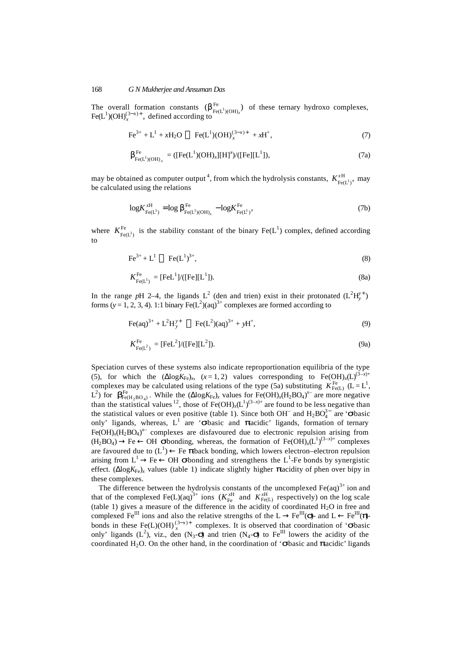The overall formation constants  $(\mathbf{b}_{\text{Fe(L}^1)(OH)_x}^{\text{Fe}})$  of these ternary hydroxo complexes, Fe(L<sup>1</sup>)(OH)<sup>(3-x)+</sup>, defined according to

$$
\text{Fe}^{3+} + \text{L}^1 + x\text{H}_2\text{O} \qquad \text{Fe}(\text{L}^1)(\text{OH})_x^{(3-x)+} + x\text{H}^+, \tag{7}
$$

$$
\boldsymbol{b}_{\mathrm{Fe}(L^{1})(OH)_{x}}^{\mathrm{Fe}} = ([\mathrm{Fe}(L^{1})(OH)_{x}][H]^{x})/([\mathrm{Fe}][L^{1}]), \tag{7a}
$$

may be obtained as computer output<sup>4</sup>, from which the hydrolysis constants,  $K_{\text{E-CL}}^{\text{XH}}$ ,  $K_{\text{Fe}(L^1)}^{xH}$ , may be calculated using the relations

$$
\log K_{\text{Fe}(L^1)}^{\text{xH}} = \log \mathbf{b}_{\text{Fe}(L^1)(OH)_x}^{\text{Fe}} - \log K_{\text{Fe}(L^1)}^{\text{Fe}}, \tag{7b}
$$

where  $K_{\text{Fe}(L^1)}^{\text{Fe}}$  is the stability constant of the binary  $\text{Fe}(L^1)$  complex, defined according to

$$
\text{Fe}^{3+} + \text{L}^1 \qquad \text{Fe}(\text{L}^1)^{3+}, \tag{8}
$$

$$
K_{\text{Fe}(L^1)}^{\text{Fe}} = [\text{Fe}L^1]/([\text{Fe}][L^1]). \tag{8a}
$$

In the range pH 2–4, the ligands  $L^2$  (den and trien) exist in their protonated  $(L^2H_y^{\gamma+})$ forms ( $y = 1, 2, 3, 4$ ). 1:1 binary Fe( $L^2$ )(aq)<sup>3+</sup> complexes are formed according to

$$
Fe(aq)^{3+} + L^2H_y^{y+} \qquad Fe(L^2)(aq)^{3+} + yH^+, \tag{9}
$$

$$
K_{\text{Fe}(L^2)}^{\text{Fe}} = \text{[FeL}^2\text{]/}(\text{[Fe][L}^2\text{]).} \tag{9a}
$$

Speciation curves of these systems also indicate reproportionation equilibria of the type (5), for which the  $(\Delta \log K_{Fe})_x$ ,  $(x=1, 2)$  values corresponding to Fe(OH)<sub>x</sub>(L)<sup>(3-x)+</sup> complexes may be calculated using relations of the type (5a) substituting  $K_{\text{Fe(L)}}^{\text{Fe}}$  (L = L<sup>1</sup>, L<sup>2</sup>) for  $\mathbf{b}_{Fe(H_2BO_4)}^{\text{Fe}}$ . While the  $(\Delta log K_{Fe})_x$  values for Fe(OH)<sub>x</sub>(H<sub>2</sub>BO<sub>4</sub>)<sup>x–</sup> are more negative than the statistical values <sup>12</sup>, those of Fe(OH)<sub>x</sub>(L<sup>1</sup>)<sup>(3-x)+</sup> are found to be less negative than the statistical values or even positive (table 1). Since both OH<sup>–</sup> and  $H_2BO_4^{3-}$  are '*s*-basic only' ligands, whereas, L<sup>1</sup> are 's basic and **p**acidic' ligands, formation of ternary Fe(OH)<sub>x</sub>(H<sub>2</sub>BO<sub>4</sub>)<sup>x-</sup> complexes are disfavoured due to electronic repulsion arising from  $(H_2BO_4) \to Fe \leftarrow OH$  **s**-bonding, whereas, the formation of  $Fe(OH)_x(L^1)^{(3-x)+}$  complexes are favoured due to  $(L^1) \leftarrow$  Fe **p**back bonding, which lowers electron–electron repulsion arising from  $L^1 \rightarrow Fe \leftarrow OH$  **s**bonding and strengthens the  $L^1$ -Fe bonds by synergistic effect. ( $\Delta$ log $K_{Fe}$ )<sub>x</sub> values (table 1) indicate slightly higher **p**acidity of phen over bipy in these complexes.

The difference between the hydrolysis constants of the uncomplexed  $Fe(aq)^{3+}$  ion and that of the complexed Fe(L)(aq)<sup>3+</sup> ions  $(K_{Fe}^{xH}$  and  $K_{Fe(L)}^{xH}$  respectively) on the log scale (table 1) gives a measure of the difference in the acidity of coordinated  $H_2O$  in free and complexed Fe<sup>III</sup> ions and also the relative strengths of the  $L \rightarrow Fe^{III}(\mathbf{S})$ - and  $L \leftarrow Fe^{III}(\mathbf{p})$ bonds in these F<sub>e</sub>(L)(OH)<sup>(3-*x*)+</sup> complexes. It is observed that coordination of '*s*-basic only' ligands  $(L^2)$ , viz., den  $(N_3-**5**)$  and trien  $(N_4-**5**)$  to Fe<sup>III</sup> lowers the acidity of the coordinated H<sub>2</sub>O. On the other hand, in the coordination of 's basic and **p**acidic' ligands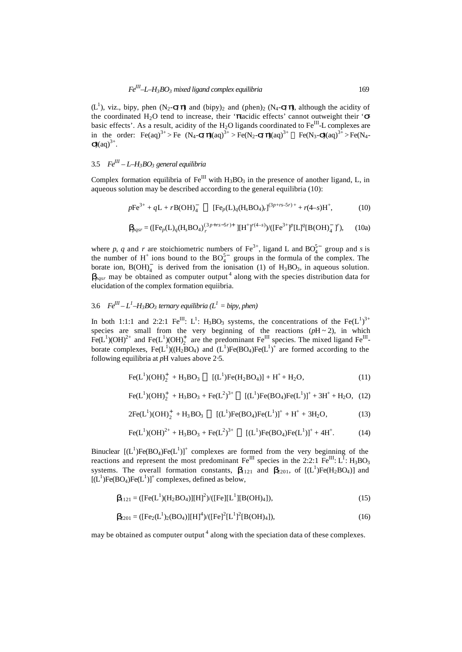$(L<sup>1</sup>)$ , viz., bipy, phen  $(N_2 \cdot s \mathbf{p})$  and  $(bipy)_2$  and  $(phen)_2$   $(N_4 \cdot s \mathbf{p})$ , although the acidity of the coordinated H<sub>2</sub>O tend to increase, their '**p**acidic effects' cannot outweight their ' $\mathbf{s}$ basic effects'. As a result, acidity of the  $H_2O$  ligands coordinated to  $Fe^{III}$ -L complexes are in the order: Fe(aq)<sup>3+</sup> > Fe (N<sub>4</sub>-**s**,  $\vec{p}$ (aq)<sup>3+</sup> > Fe(N<sub>2</sub>-**s**,  $\vec{p}$ (aq)<sup>3+</sup> Fe(N<sub>3</sub>-**s**)(aq)<sup>3+</sup> > Fe(N<sub>4</sub>- $\mathbf{s}$ (aq)<sup>3+</sup>.

## 3.5 *FeIII – L–H3BO3 general equilibria*

Complex formation equilibria of  $Fe^{III}$  with  $H_3BO_3$  in the presence of another ligand, L, in aqueous solution may be described according to the general equilibria (10):

$$
p\text{Fe}^{3+} + q\text{L} + r\text{B}(\text{OH})_{4}^{-} \qquad \text{[Fe}_{p}(\text{L})_{q}(\text{H}_{s}\text{BO}_{4})_{r}\text{]}^{(3p+r s-5r)+} + r(4-s)\text{H}^{+}, \tag{10}
$$

$$
\mathbf{D}_{pqsr} = ([\text{Fe}_p(\text{L})_q(\text{H}_s\text{BO}_4)_{r}^{(3p+rs-5r)} + [[\text{H}^+]^{\text{r}(4-s)}) / ([\text{Fe}^{3+}]^p[\text{L}]^q[\text{B}(\text{OH})_4^-]^r), \quad (10a)
$$

where *p*, *q* and *r* are stoichiometric numbers of Fe<sup>3+</sup>, ligand L and BO<sub>4</sub><sup>5–</sup> group and *s* is the number of  $H^+$  ions bound to the  $BO_4^{5-}$  groups in the formula of the complex. The borate ion,  $B(OH)<sub>4</sub>$  is derived from the ionisation (1) of  $H<sub>3</sub>BO<sub>3</sub>$ , in aqueous solution. **<sub>***pqsr***</sub> may be obtained as computer output<sup>4</sup> along with the species distribution data for** elucidation of the complex formation equiibria.

## 3.6  $Fe^{III} - L^1$  –  $H_3BO_3$  ternary equilibria ( $L^1 =$  bipy, phen)

In both 1:1:1 and 2:2:1 Fe<sup>III</sup>: L<sup>1</sup>: H<sub>3</sub>BO<sub>3</sub> systems, the concentrations of the Fe(L<sup>1</sup>)<sup>3+</sup> species are small from the very beginning of the reactions  $(pH \sim 2)$ , in which Fe(L<sup>1</sup>)(OH)<sup>2+</sup> and Fe(L<sup>1</sup>)(OH)<sub>2</sub><sup>+</sup> are the predominant Fe<sup>III</sup> species. The mixed ligand Fe<sup>III</sup>borate complexes,  $Fe(L^1)((H_2BO_4)$  and  $(L^1)Fe(BO_4)Fe(L^1)^+$  are formed according to the following equilibria at *p*H values above 2⋅5.

$$
Fe(L1)(OH)2+ + H3BO3 \t [(L1)Fe(H2BO4)] + H+ + H2O,
$$
\t(11)

$$
Fe(L^{1})(OH)_{2}^{+} + H_{3}BO_{3} + Fe(L^{2})^{3+} \qquad [(L^{1})Fe(BO_{4})Fe(L^{1})]^{+} + 3H^{+} + H_{2}O, \quad (12)
$$

$$
2Fe(L^{1})(OH)^{+}_{2} + H_{3}BO_{3} \qquad [(L^{1})Fe(BO_{4})Fe(L^{1})]^{+} + H^{+} + 3H_{2}O, \tag{13}
$$

$$
\text{Fe}(L^1)(OH)^{2+} + H_3BO_3 + \text{Fe}(L^2)^{3+} \qquad [(L^1)\text{Fe}(BO_4)\text{Fe}(L^1)]^+ + 4H^+. \tag{14}
$$

Binuclear  $[(L^1)Fe(BO_4)Fe(L^1)]^+$  complexes are formed from the very beginning of the reactions and represent the most predominant  $\text{Fe}^{\text{III}}$  species in the 2:2:1  $\text{Fe}^{\text{III}}$ :  $\text{L}^1$ :  $\text{H}_3\text{BO}_3$ systems. The overall formation constants, **<sub>121</sub> and**  $**b**$ **<sub>201</sub>, of**  $[(L^1)Fe(H_2BO_4)]$  **and**  $[(L^1)Fe(BO_4)Fe(L^1)]^+$  complexes, defined as below,

$$
\mathbf{b}_{121} = ([Fe(L1)(H2BO4)][H]2)/([Fe][L1][B(OH)4]),
$$
\n(15)

$$
\mathbf{b}_{201} = ([\text{Fe}_2(\text{L}^1)_2(\text{BO}_4)][\text{H}]^4)/([\text{Fe}]^2[\text{L}^1]^2[\text{B}(\text{OH})_4]),\tag{16}
$$

may be obtained as computer output  $4$  along with the speciation data of these complexes.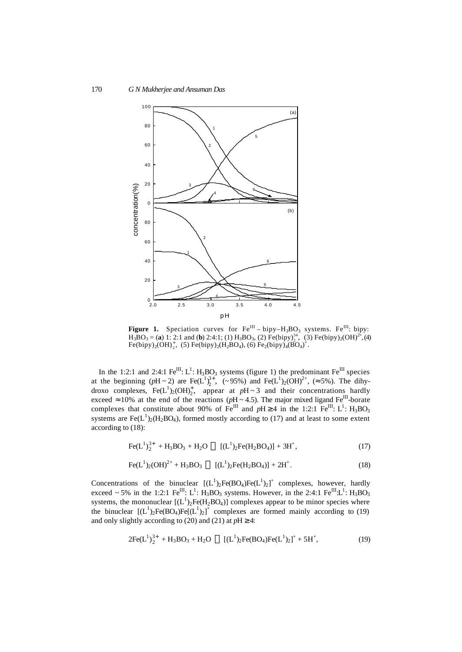

**Figure 1.** Speciation curves for  $Fe^{III}$  - bipy- $H_3BO_3$  systems.  $Fe^{III}$ : bipy:  $H_3BO_3 = (a) 1: 2:1$  and (b) 2:4:1; (1)  $H_3BO_3$ , (2)  $Fe(bipy)_2^3$ , (3)  $Fe(bipy)_2(OH)^{2+}$ , (4)  $\text{Fe(bipy)}_{2}(\text{OH})_{2}^{+}$ , (5)  $\text{Fe(bipy)}_{2}(\text{H}_{2}\text{BO}_{4})$ , (6)  $\text{Fe}_{2}(\text{bipy})_{4}(\text{BO}_{4})^{+}$ .

In the 1:2:1 and 2:4:1  $Fe^{III}$ :  $L^1$ : H<sub>3</sub>BO<sub>3</sub> systems (figure 1) the predominant  $Fe^{III}$  species at the beginning  $(pH \sim 2)$  are Fe( $L^{1}$ )<sub>2</sub><sup>3+</sup>, (~95%) and Fe( $L^{1}$ )<sub>2</sub>(OH)<sup>2+</sup>, (≈5%). The dihydroxo complexes,  $Fe(L^1)_2(OH)_2^+$ , appear at  $pH \sim 3$  and their concentrations hardly exceed  $\approx 10\%$  at the end of the reactions ( $pH \sim 4.5$ ). The major mixed ligand Fe<sup>III</sup>-borate complexes that constitute about 90% of  $Fe^{III}$  and  $pH \ge 4$  in the 1:2:1  $Fe^{III}$ : L<sup>1</sup>: H<sub>3</sub>BO<sub>3</sub> systems are  $Fe(L^{1})_{2}(H_{2}BO_{4})$ , formed mostly according to (17) and at least to some extent according to (18):

$$
Fe(L^{1})_{2}^{3+} + H_{3}BO_{3} + H_{2}O \qquad [(L^{1})_{2}Fe(H_{2}BO_{4})] + 3H^{+}, \qquad (17)
$$

$$
Fe(L^{1})_{2}(OH)^{2+} + H_{3}BO_{3} \qquad [(L^{1})_{2}Fe(H_{2}BO_{4})] + 2H^{+}.
$$
 (18)

Concentrations of the binuclear  $[(L^1)_2 \text{Fe}(B_4) \text{Fe}(L^1)_2]^+$  complexes, however, hardly exceed ~ 5% in the 1:2:1 Fe<sup>III</sup>: L<sup>1</sup>: H<sub>3</sub>BO<sub>3</sub> systems. However, in the 2:4:1 Fe<sup>III</sup>:L<sup>1</sup>: H<sub>3</sub>BO<sub>3</sub> systems, the mononuclear  $[(L^1)_2Fe(H_2BO_4)]$  complexes appear to be minor species where the binuclear  $[(L^1)_2 \text{Fe}(BO_4)\text{Fe}[(L^1)_2]^+$  complexes are formed mainly according to (19) and only slightly according to (20) and (21) at  $pH \geq 4$ :

$$
2Fe(L^{1})_{2}^{3+} + H_{3}BO_{3} + H_{2}O \qquad [(L^{1})_{2}Fe(BO_{4})Fe(L^{1})_{2}]^{+} + 5H^{+},
$$
 (19)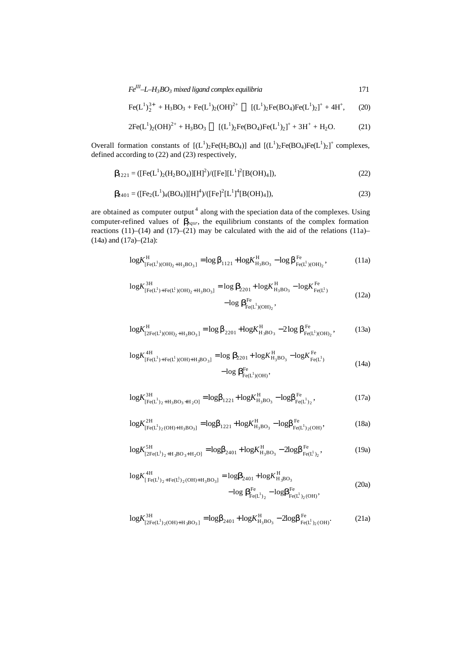$$
Fe^{III} - L - H_3 BO_3 \, mixed \, ligand \, complex \, equilibrium \, equation \, (171)
$$

$$
\text{Fe}(L^1)_2^{3+} + \text{H}_3\text{BO}_3 + \text{Fe}(L^1)_2\text{(OH)}^{2+} \qquad \text{[(L^1)_2\text{Fe}(BO_4)\text{Fe}(L^1)_2]^+} + 4\text{H}^+, \qquad (20)
$$

$$
2\text{Fe}(L^{1})_{2}(OH)^{2+} + H_{3}BO_{3} \qquad [(L^{1})_{2}\text{Fe}(BO_{4})\text{Fe}(L^{1})_{2}]^{+} + 3H^{+} + H_{2}O. \tag{21}
$$

Overall formation constants of  $[(L^1)_2Fe(H_2BO_4)]$  and  $[(L^1)_2Fe(BO_4)Fe(L^1)_2]^+$  complexes, defined according to (22) and (23) respectively,

$$
\mathbf{b}_{1221} = ([Fe(L^1)_2(H_2BO_4)][H]^2) / ([Fe][L^1]^2[B(OH)_4]), \tag{22}
$$

$$
\mathbf{b}_{401} = ([Fe_2(L^1)_4(BO_4)][H]^4)/([Fe]^2[L^1]^4[B(OH)_4]), \tag{23}
$$

are obtained as computer output<sup>4</sup> along with the speciation data of the complexes. Using computer-refined values of  $\mathbf{b}_{qgr}$ , the equilibrium constants of the complex formation reactions (11)–(14) and (17)–(21) may be calculated with the aid of the relations (11a)– (14a) and (17a)–(21a):

$$
\log K_{[Fe(L^{1})(OH)_{2}+H_{3}BO_{3}]}^{H} = \log b_{1121} + \log K_{H_{3}BO_{3}}^{H} - \log b_{Fe(L^{1})(OH)_{2}}^{Fe},
$$
\n(11a)

$$
\log K_{\text{[Fe(L^1)+Fe(L^1)(OH)_2}+H_3BO_3]}^{\text{3H}} = \log \mathbf{b}_{2201} + \log K_{H_3BO_3}^{\text{H}} - \log K_{\text{Fe(L}^1)}^{\text{Fe}} \tag{12a}
$$
\n
$$
- \log \mathbf{b}_{\text{Fe(L^1)(OH)_2}}^{\text{Fe}},
$$

$$
\log K_{[2Fe(L^{1})(OH)_{2}+H_{3}BO_{3}]}^{H} = \log b_{2201} + \log K_{H_{3}BO_{3}}^{H} - 2\log b_{Fe(L^{1})(OH)_{2}}^{Fe},
$$
 (13a)

$$
\log K_{\text{[Fe(L^1)} + \text{Fe(L^1)})(OH) + H_3BO_3]}^{\text{4H}} = \log \mathbf{b}_{2201} + \log K_{H_3BO_3}^{\text{H}} - \log K_{\text{Fe(L}^1)}^{\text{Fe}} \tag{14a}
$$
\n
$$
- \log \mathbf{b}_{\text{Fe(L}^1)(OH)}^{\text{Fe}}.
$$

$$
\log K_{\text{[Fe(L}^1)_2 + \text{H}_3 \text{BO}_3 + \text{H}_2 \text{O}]}^{\text{3H}} = \log b_{1221} + \log K_{\text{H}_3 \text{BO}_3}^{\text{H}} - \log b_{\text{Fe(L}^1)_2}^{\text{Fe}}, \tag{17a}
$$

$$
\log K_{\text{[Fe(L}^1)_2(OH)+H_3BO_3]}^{2H} = \log b_{1221} + \log K_{H_3BO_3}^H - \log b_{\text{Fe(L}^1)_2(OH)}^{\text{Fe}},\tag{18a}
$$

$$
\log K_{[2Fe(L^1)_2+H_3BO_3+H_2O]}^{5H} = \log b_{2401} + \log K_{H_3BO_3}^{H} - 2\log b_{Fe(L^1)_2}^{Fe},
$$
\n(19a)

$$
\log K_{[\text{Fe}(L_{22} + \text{Fe}(L_{22} + \text{Fe}(L_{22} + \text{Fe}(L_{22} + \text{Fe}(L_{22} + \text{Fe}(L_{22} + \text{Fe}(L_{22} + \text{Fe}(L_{22} + \text{Fe}(L_{22} + \text{Fe}(L_{22} + \text{Fe}(L_{22} + \text{Fe}(L_{22} + \text{Fe}(L_{22} + \text{Fe}(L_{22} + \text{Fe}(L_{22} + \text{Fe}(L_{22} + \text{Fe}(L_{22} + \text{Fe}(L_{22} + \text{Fe}(L_{22} + \text{Fe}(L_{22} + \text{Fe}(L_{22} + \text{Fe}(L_{22} + \text{Fe}(L_{22} + \text{Fe}(L_{22} + \text{Fe}(L_{22} + \text{Fe}(L_{22} + \text{Fe}(L_{22} + \text{Fe}(L_{22} + \text{Fe}(L_{22} + \text{Fe}(L_{22} + \text{Fe}(L_{22} + \text{Fe}(L_{22} + \text{Fe}(L_{22} + \text{Fe}(L_{22} + \text{Fe}(L_{22} + \text{Fe}(L_{22} + \text{Fe}(L_{22} + \text{Fe}(L_{22} + \text{Fe}(L_{22} + \text{Fe}(L_{22} + \text{Fe}(L_{22} + \text{Fe}(L_{22} + \text{Fe}(L_{22} + \text{Fe}(L_{22} + \text{Fe}(L_{22} + \text{Fe}(L_{22} + \text{Fe}(L_{22} + \text{Fe}(L_{22} + \text{Fe}(L_{22} + \text{Fe}(L_{22} + \text{Fe}(L_{22} + \text{Fe}(L_{22} + \text{Fe}(L_{22} + \text{Fe}(L_{22} + \text{Fe}(L_{22} + \text{Fe}(L_{22} + \text{Fe}(L_{22} + \text{Fe}(L_{22} + \text{Fe}(L_{22} + \text{Fe}(L_{22} + \text{Fe}(L_{22} + \text{Fe}(L_{22} + \text{Fe}(L_{22} + \text{Fe}(L_{22} + \text{Fe}(L_{22} + \text{Fe}(L_{22} + \text{Fe}(L_{22} + \text{Fe}(L_{22} + \text{Fe}(L_{2
$$

$$
\log K_{[2Fe(L^{1})_{2}(OH)+H_{3}BO_{3}]}^{3H} = \log b_{2401} + \log K_{H_{3}BO_{3}}^{H} - 2\log b_{Fe(L^{1})_{2}(OH)}^{Fe}.
$$
 (21a)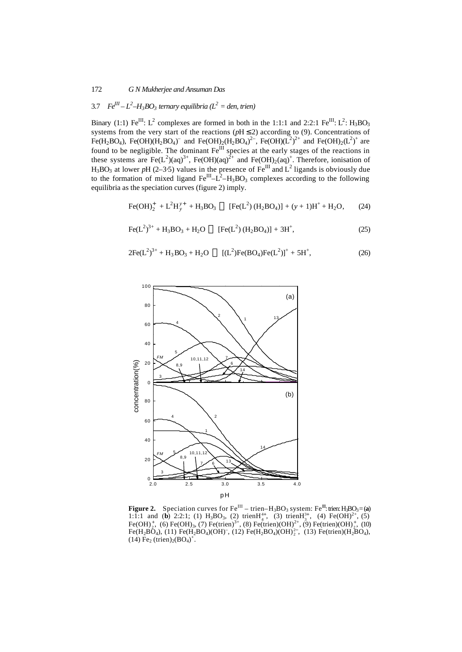## 3.7 *FeIII – L<sup>2</sup> –H3BO3 ternary equilibria (L<sup>2</sup> = den, trien)*

Binary (1:1) Fe<sup>III</sup>: L<sup>2</sup> complexes are formed in both in the 1:1:1 and 2:2:1 Fe<sup>III</sup>: L<sup>2</sup>: H<sub>3</sub>BO<sub>3</sub> systems from the very start of the reactions ( $pH \le 2$ ) according to (9). Concentrations of Fe(H<sub>2</sub>BO<sub>4</sub>), Fe(OH)(H<sub>2</sub>BO<sub>4</sub>)<sup>-</sup> and Fe(OH)<sub>2</sub>(H<sub>2</sub>BO<sub>4</sub>)<sup>2-</sup>, Fe(OH)(L<sup>2</sup>)<sup>2+</sup> and Fe(OH)<sub>2</sub>(L<sup>2</sup>)<sup>+</sup> are found to be negligible. The dominant  $Fe^{III}$  species at the early stages of the reactions in these systems are Fe( $L^2$ )(aq)<sup>3+</sup>, Fe(OH)(aq)<sup>2+</sup> and Fe(OH)<sub>2</sub>(aq)<sup>+</sup>. Therefore, ionisation of  $H_3BO_3$  at lower *p*H (2–3.5) values in the presence of Fe<sup>III</sup> and L<sup>2</sup> ligands is obviously due to the formation of mixed ligand  $\text{Fe}^{\text{III}} - \text{L}^2 - \text{H}_3 \text{BO}_3$  complexes according to the following equilibria as the speciation curves (figure 2) imply.

$$
Fe(OH)2+ + L2Hy++ + H3BO3 \t[Fe(L2)(H2BO4)] + (y + 1)H+ + H2O, \t(24)
$$

$$
Fe(L^{2})^{3+} + H_{3}BO_{3} + H_{2}O \qquad [Fe(L^{2}) (H_{2}BO_{4})] + 3H^{+}, \qquad (25)
$$

$$
2\text{Fe}(L^2)^{3+} + H_3BO_3 + H_2O \qquad [(L^2)\text{Fe}(BO_4)\text{Fe}(L^2)]^+ + 5H^+, \tag{26}
$$



**Figure 2.** Speciation curves for  $Fe^{III}$  – trien– $H_3BO_3$  system:  $Fe^{III}$ : trien:  $H_3BO_3 = (a)$ 1:1:1 and (b) 2:2:1; (1) H<sub>3</sub>BO<sub>3</sub>, (2) trienH<sup>4+</sup><sub>4</sub>, (3) trienH<sub>3</sub><sup>+</sup><sub>3</sub>, (4) Fe(OH)<sup>2+</sup>, (5) Fe(OH)<sup>+</sup>, (6) Fe(OH)<sub>3</sub>, (7) Fe(trien)<sup>3+</sup>, (8) Fe(trien)(OH)<sup>2+</sup>, (9) Fe(trien)(OH)<sup>+</sup><sub>2</sub>, (10) Fe(H<sub>2</sub>BO<sub>4</sub>), (11) Fe(H<sub>2</sub>BO<sub>4</sub>)(OH)<sup>-</sup>, (12) Fe(H<sub>2</sub>BO<sub>4</sub>)(OH)<sup>2</sup><sub>2</sub>, (13) Fe(trien)(H<sub>2</sub>BO<sub>4</sub>),  $(14) \text{ Fe}_2 (\text{trien})_2 (\text{BO}_4)^+$ .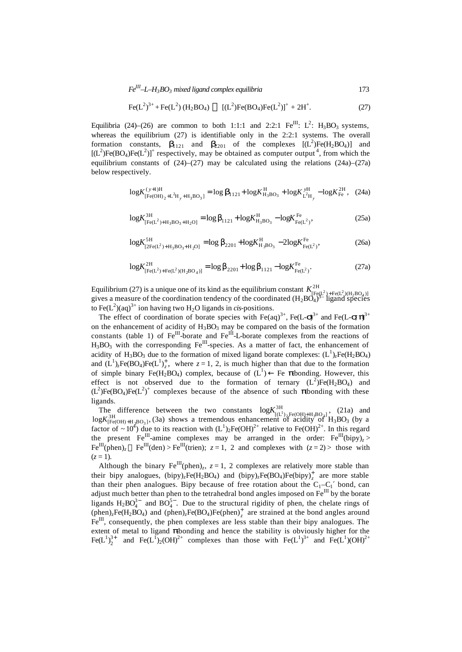*FeIII –L–H3BO3 mixed ligand complex equilibria* 173

$$
\text{Fe}(L^2)^{3+} + \text{Fe}(L^2) \left( H_2 \text{BO}_4 \right) \qquad \text{[}(L^2) \text{Fe}(B\text{O}_4) \text{Fe}(L^2) \text{]}^+ + 2H^+.
$$
 (27)

Equilibria (24)–(26) are common to both 1:1:1 and 2:2:1  $\text{Fe}^{\text{III}}$ : L<sup>2</sup>: H<sub>3</sub>BO<sub>3</sub> systems, whereas the equilibrium (27) is identifiable only in the 2:2:1 systems. The overall formation constants,  $\mathbf{b}_{121}$  and  $\mathbf{b}_{201}$  of the complexes  $[(\mathbf{L}^2)\mathbf{Fe}(\mathbf{H}_2\mathbf{BO}_4)]$  and  $[(L^2)Fe(BO_4)Fe(L^2)]^+$  respectively, may be obtained as computer output<sup>4</sup>, from which the equilibrium constants of  $(24)$ – $(27)$  may be calculated using the relations  $(24a)$ – $(27a)$ below respectively.

$$
\log K_{\text{[Fe(OH)}_2 + \text{L}^2\text{H}_y + \text{H}_3\text{BO}_3)}^{(\gamma+1)\text{H}} = \log \mathbf{b}_{1121} + \log K_{\text{H}_3\text{BO}_3}^{\text{H}} + \log K_{\text{L}^2\text{H}_y}^{\gamma\text{H}} - \log K_{\text{Fe}}^{2\text{H}}, \quad (24a)
$$

$$
\log K_{\text{[Fe(L}^2)+\text{H}_3\text{BO}_3+\text{H}_2\text{O}]}^{\text{3H}} = \log b_{1121} + \log K_{\text{H}_3\text{BO}_3}^{\text{H}} - \log K_{\text{Fe(L}^2)}^{\text{Fe}},\tag{25a}
$$

$$
\log K_{[2Fe(L^2) + H_3BO_3 + H_2O]}^{5H} = \log b_{2201} + \log K_{H_3BO_3}^{H} - 2\log K_{Fe(L^2)}^{Fe},
$$
 (26a)

$$
\log K_{\text{[Fe(L}^2)+\text{Fe(L}^2)(\text{H}_2\text{BO}_4)]}^{\text{2H}} = \log \mathbf{b}_{2201} + \log \mathbf{b}_{1121} - \log K_{\text{Fe(L}^2)}^{\text{Fe}}.
$$
 (27a)

Equilibrium (27) is a unique one of its kind as the equilibrium constant  $K_{\text{eff}}^{\text{2H}}(L^2) + \text{Fe}(L^2)(H_2BO_4)$ gives a measure of the coordination tendency of the coordinated  $(H_2BO_4^{\{1\}})$  ligand species to  $\text{Fe}(L^2)(aq)^{3+}$  ion having two  $H_2O$  ligands in *cis*-positions.

The effect of coordination of borate species with Fe(aq)<sup>3+</sup>, Fe(L- $\mathbf{S}^{3+}$  and Fe(L- $\mathbf{S}$  $\mathbf{p}^{3+}$ on the enhancement of acidity of  $H_3BO_3$  may be compared on the basis of the formation constants (table 1) of  $\text{Fe}^{\text{III}}$ -borate and  $\text{Fe}^{\text{III}}$ -L-borate complexes from the reactions of  $H_3BO_3$  with the corresponding  $Fe^{III}$ -species. As a matter of fact, the enhancement of acidity of  $H_3BO_3$  due to the formation of mixed ligand borate complexes:  $(L^1)_zFe(H_2BO_4)$ and  $(L^1)_z$ Fe(BO<sub>4</sub>)Fe(L<sup>1</sup>)<sub>z</sub><sup>+</sup>, where  $z = 1, 2$ , is much higher than that due to the formation of simple binary Fe(H<sub>2</sub>BO<sub>4</sub>) complex, because of  $(L^1) \leftarrow$  Fe **p**bonding. However, this effect is not observed due to the formation of ternary  $(L^2)Fe(H_2BO_4)$  and  $(L^2)$ Fe(BO<sub>4</sub>)Fe(L<sup>2</sup>)<sup>+</sup> complexes because of the absence of such **p**bonding with these ligands.

The difference between the two constants  $log K_{[(\text{L}^1)_2] \text{Fe(OH)} + \text{H}_3 \text{BO}_3]}^{\text{3H}}$ , (21a) and  $log K_{[Fe(OH)+H_3BO_3]}^{3H}$ , (3a) shows a tremendous enhancement of acidity of  $H_3BO_3$  (by a factor of  $\sim 10^4$ ) due to its reaction with  $(L^1)_2$ Fe(OH)<sup>2+</sup> relative to Fe(OH)<sup>2+</sup>. In this regard the present Fe<sup>III</sup>-amine complexes may be arranged in the order:  $Fe^{III}(bipy)_z$ Fe<sup>III</sup>(phen)<sub>z</sub> Fe<sup>III</sup>(den) > Fe<sup>III</sup>(trien);  $z = 1$ , 2 and complexes with  $(z = 2)$  b those with  $(z = 1)$ .

Although the binary  $Fe^{III}(phen)_{z}$ ,  $z=1$ , 2 complexes are relatively more stable than their bipy analogues,  $(bipy)_{z}Fe(H_{2}BO_{4})$  and  $(bipy)_{z}Fe(BO_{4})Fe(bipy)_{z}^{+}$  are more stable than their phen analogues. Bipy because of free rotation about the  $C_1-C_1'$  bond, can adjust much better than phen to the tetrahedral bond angles imposed on  $Fe^{III}$  by the borate ligands  $H_2BO_4^{3-}$  and  $BO_4^{5-}$ . Due to the structural rigidity of phen, the chelate rings of  $(\text{phen})_z\text{Fe}(H_2BO_4)$  and  $(\text{phen})_z\text{Fe}(BO_4)\text{Fe}(\text{phen})_z^+$  are strained at the bond angles around Fe<sup>III</sup>, consequently, the phen complexes are less stable than their bipy analogues. The extent of metal to ligand *p*bonding and hence the stability is obviously higher for the Fe(L<sup>1</sup>)<sup>3+</sup> and Fe(L<sup>1</sup>)<sub>2</sub>(OH)<sup>2+</sup> complexes than those with Fe(L<sup>1</sup>)<sup>3+</sup> and Fe(L<sup>1</sup>)(OH)<sup>2+</sup>